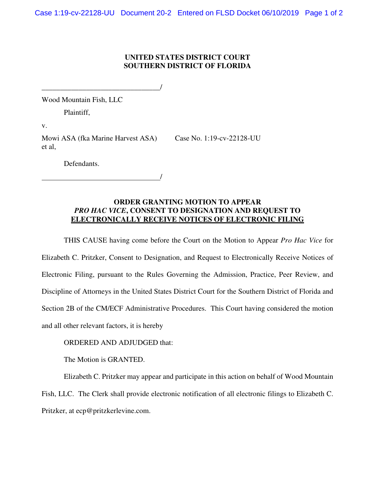## **UNITED STATES DISTRICT COURT SOUTHERN DISTRICT OF FLORIDA**

Wood Mountain Fish, LLC

Plaintiff,

v.

Mowi ASA (fka Marine Harvest ASA) Case No. 1:19-cv-22128-UU et al,

/

\_\_\_\_\_\_\_\_\_\_\_\_\_\_\_\_\_\_\_\_\_\_\_\_\_\_\_\_\_\_\_\_/

Defendants.

## **ORDER GRANTING MOTION TO APPEAR**  *PRO HAC VICE***, CONSENT TO DESIGNATION AND REQUEST TO ELECTRONICALLY RECEIVE NOTICES OF ELECTRONIC FILING**

THIS CAUSE having come before the Court on the Motion to Appear *Pro Hac Vice* for Elizabeth C. Pritzker, Consent to Designation, and Request to Electronically Receive Notices of Electronic Filing, pursuant to the Rules Governing the Admission, Practice, Peer Review, and Discipline of Attorneys in the United States District Court for the Southern District of Florida and Section 2B of the CM/ECF Administrative Procedures. This Court having considered the motion and all other relevant factors, it is hereby

## ORDERED AND ADJUDGED that:

The Motion is GRANTED.

Elizabeth C. Pritzker may appear and participate in this action on behalf of Wood Mountain Fish, LLC. The Clerk shall provide electronic notification of all electronic filings to Elizabeth C. Pritzker, at ecp@pritzkerlevine.com.